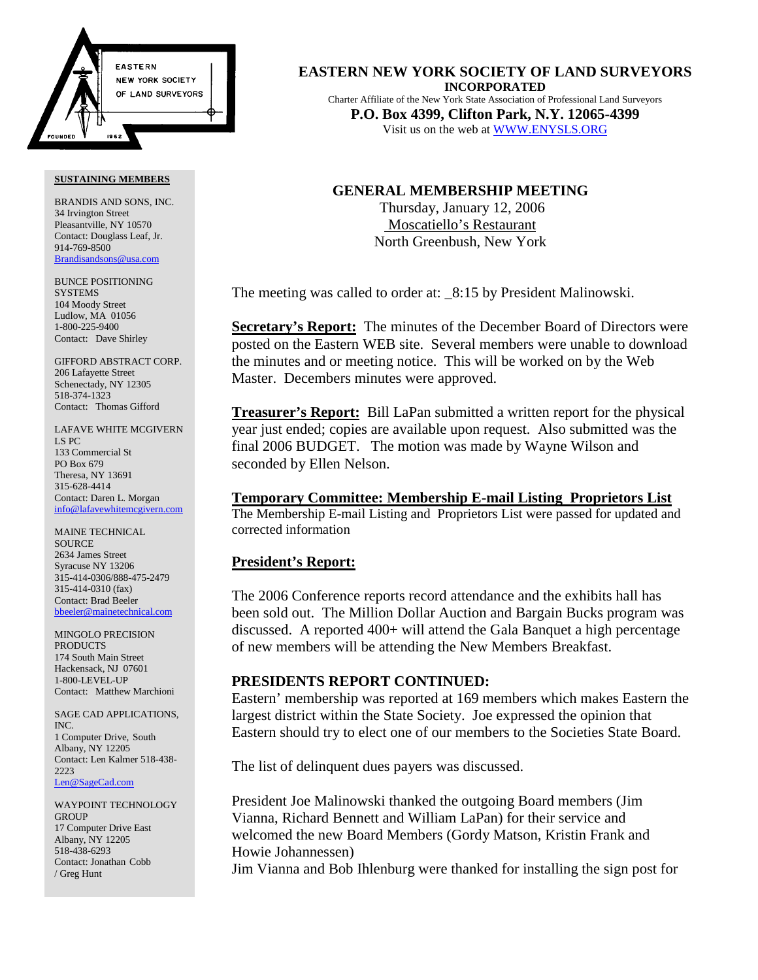

#### **SUSTAINING MEMBERS**

BRANDIS AND SONS, INC. 34 Irvington Street Pleasantville, NY 10570 Contact: Douglass Leaf, Jr. 914-769-8500 Brandisandsons@usa.com

BUNCE POSITIONING **SYSTEMS** 104 Moody Street Ludlow, MA 01056 1-800-225-9400 Contact: Dave Shirley

GIFFORD ABSTRACT CORP. 206 Lafayette Street Schenectady, NY 12305 518-374-1323 Contact: Thomas Gifford

LAFAVE WHITE MCGIVERN LS PC 133 Commercial St PO Box 679 Theresa, NY 13691 315-628-4414 Contact: Daren L. Morgan info@lafavewhitemcgivern.com

MAINE TECHNICAL **SOURCE** 2634 James Street Syracuse NY 13206 315-414-0306/888-475-2479 315-414-0310 (fax) Contact: Brad Beeler bbeeler@mainetechnical.com

MINGOLO PRECISION PRODUCTS 174 South Main Street Hackensack, NJ 07601 1-800-LEVEL-UP Contact: Matthew Marchioni

SAGE CAD APPLICATIONS, INC. 1 Computer Drive, South Albany, NY 12205 Contact: Len Kalmer 518-438- 2223 Len@SageCad.com

WAYPOINT TECHNOLOGY **GROUP** 17 Computer Drive East Albany, NY 12205 518-438-6293 Contact: Jonathan Cobb / Greg Hunt

**EASTERN NEW YORK SOCIETY OF LAND SURVEYORS INCORPORATED** Charter Affiliate of the New York State Association of Professional Land Surveyors **P.O. Box 4399, Clifton Park, N.Y. 12065-4399** Visit us on the web at WWW.ENYSLS.ORG

# **GENERAL MEMBERSHIP MEETING**

 Thursday, January 12, 2006 Moscatiello's Restaurant North Greenbush, New York

The meeting was called to order at:  $8:15$  by President Malinowski.

**Secretary's Report:** The minutes of the December Board of Directors were posted on the Eastern WEB site. Several members were unable to download the minutes and or meeting notice. This will be worked on by the Web Master. Decembers minutes were approved.

**Treasurer's Report:** Bill LaPan submitted a written report for the physical year just ended; copies are available upon request. Also submitted was the final 2006 BUDGET. The motion was made by Wayne Wilson and seconded by Ellen Nelson.

**Temporary Committee: Membership E-mail Listing Proprietors List** The Membership E-mail Listing and Proprietors List were passed for updated and corrected information

## **President's Report:**

The 2006 Conference reports record attendance and the exhibits hall has been sold out. The Million Dollar Auction and Bargain Bucks program was discussed. A reported 400+ will attend the Gala Banquet a high percentage of new members will be attending the New Members Breakfast.

# **PRESIDENTS REPORT CONTINUED:**

Eastern' membership was reported at 169 members which makes Eastern the largest district within the State Society. Joe expressed the opinion that Eastern should try to elect one of our members to the Societies State Board.

The list of delinquent dues payers was discussed.

President Joe Malinowski thanked the outgoing Board members (Jim Vianna, Richard Bennett and William LaPan) for their service and welcomed the new Board Members (Gordy Matson, Kristin Frank and Howie Johannessen)

Jim Vianna and Bob Ihlenburg were thanked for installing the sign post for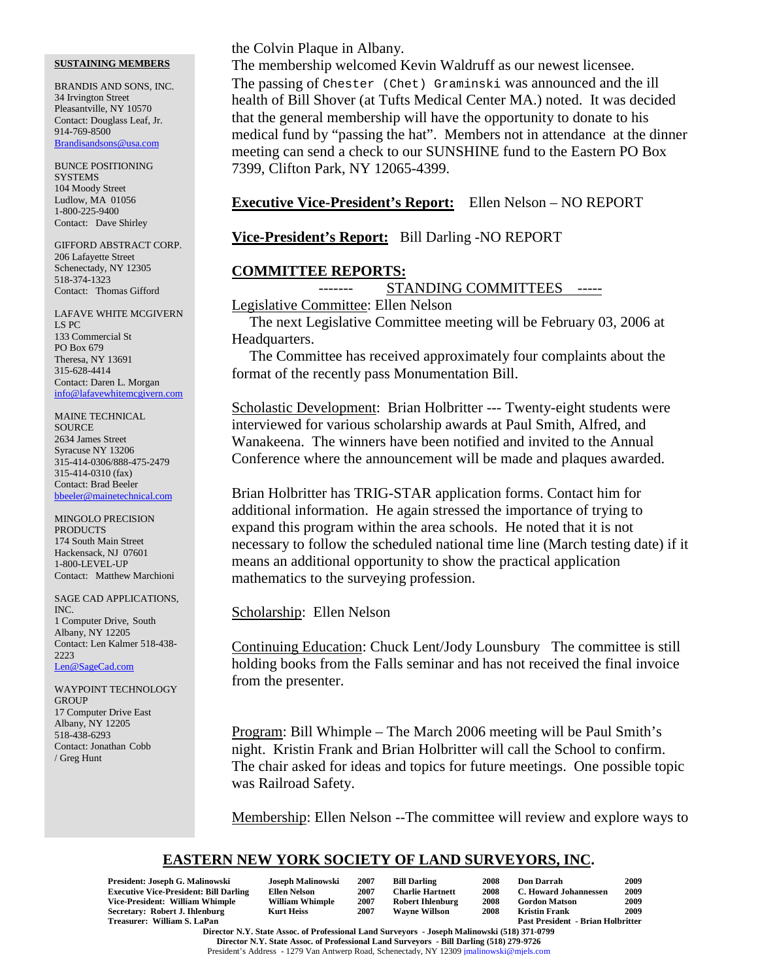#### **SUSTAINING MEMBERS**

BRANDIS AND SONS, INC. 34 Irvington Street Pleasantville, NY 10570 Contact: Douglass Leaf, Jr. 914-769-8500 Brandisandsons@usa.com

BUNCE POSITIONING **SYSTEMS** 104 Moody Street Ludlow, MA 01056 1-800-225-9400 Contact: Dave Shirley

GIFFORD ABSTRACT CORP. 206 Lafayette Street Schenectady, NY 12305 518-374-1323 Contact: Thomas Gifford

LAFAVE WHITE MCGIVERN LS PC 133 Commercial St PO Box 679 Theresa, NY 13691 315-628-4414 Contact: Daren L. Morgan info@lafavewhitemcgivern.com

MAINE TECHNICAL **SOURCE** 2634 James Street Syracuse NY 13206 315-414-0306/888-475-2479 315-414-0310 (fax) Contact: Brad Beeler bbeeler@mainetechnical.com

MINGOLO PRECISION PRODUCTS 174 South Main Street Hackensack, NJ 07601 1-800-LEVEL-UP Contact: Matthew Marchioni

SAGE CAD APPLICATIONS, INC. 1 Computer Drive, South Albany, NY 12205 Contact: Len Kalmer 518-438- 2223 Len@SageCad.com

WAYPOINT TECHNOLOGY GROUP 17 Computer Drive East Albany, NY 12205 518-438-6293 Contact: Jonathan Cobb / Greg Hunt

the Colvin Plaque in Albany.

The membership welcomed Kevin Waldruff as our newest licensee. The passing of Chester (Chet) Graminski was announced and the ill health of Bill Shover (at Tufts Medical Center MA.) noted. It was decided that the general membership will have the opportunity to donate to his medical fund by "passing the hat". Members not in attendance at the dinner meeting can send a check to our SUNSHINE fund to the Eastern PO Box 7399, Clifton Park, NY 12065-4399.

## **Executive Vice-President's Report:** Ellen Nelson – NO REPORT

**Vice-President's Report:** Bill Darling -NO REPORT

## **COMMITTEE REPORTS:**

------- STANDING COMMITTEES -----

Legislative Committee: Ellen Nelson

The next Legislative Committee meeting will be February 03, 2006 at Headquarters.

The Committee has received approximately four complaints about the format of the recently pass Monumentation Bill.

Scholastic Development: Brian Holbritter --- Twenty-eight students were interviewed for various scholarship awards at Paul Smith, Alfred, and Wanakeena. The winners have been notified and invited to the Annual Conference where the announcement will be made and plaques awarded.

Brian Holbritter has TRIG-STAR application forms. Contact him for additional information. He again stressed the importance of trying to expand this program within the area schools. He noted that it is not necessary to follow the scheduled national time line (March testing date) if it means an additional opportunity to show the practical application mathematics to the surveying profession.

Scholarship: Ellen Nelson

Continuing Education: Chuck Lent/Jody Lounsbury The committee is still holding books from the Falls seminar and has not received the final invoice from the presenter.

Program: Bill Whimple – The March 2006 meeting will be Paul Smith's night. Kristin Frank and Brian Holbritter will call the School to confirm. The chair asked for ideas and topics for future meetings. One possible topic was Railroad Safety.

Membership: Ellen Nelson --The committee will review and explore ways to

# **EASTERN NEW YORK SOCIETY OF LAND SURVEYORS, INC.**

| President: Joseph G. Malinowski                                                              | Joseph Malinowski      | 2007 | <b>Bill Darling</b>     | 2008 | <b>Don Darrah</b>                        | 2009 |
|----------------------------------------------------------------------------------------------|------------------------|------|-------------------------|------|------------------------------------------|------|
| <b>Executive Vice-President: Bill Darling</b>                                                | Ellen Nelson           | 2007 | <b>Charlie Hartnett</b> | 2008 | C. Howard Johannessen                    | 2009 |
| Vice-President: William Whimple                                                              | <b>William Whimple</b> | 2007 | <b>Robert Ihlenburg</b> | 2008 | <b>Gordon Matson</b>                     | 2009 |
| Secretary: Robert J. Ihlenburg                                                               | <b>Kurt Heiss</b>      | 2007 | <b>Wavne Willson</b>    | 2008 | Kristin Frank                            | 2009 |
| Treasurer: William S. LaPan                                                                  |                        |      |                         |      | <b>Past President - Brian Holbritter</b> |      |
| Director N.Y. State Assoc. of Professional Land Surveyors - Joseph Malinowski (518) 371-0799 |                        |      |                         |      |                                          |      |

**Director N.Y. State Assoc. of Professional Land Surveyors - Bill Darling (518) 279-9726** President's Address - 1279 Van Antwerp Road, Schenectady, NY 12309 jmalinowski@mjels.com